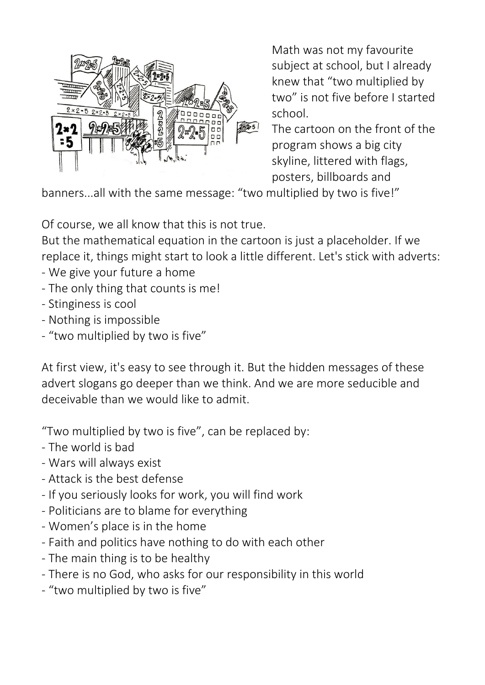

Math was not my favourite subject at school, but I already knew that "two multiplied by two" is not five before I started school.

The cartoon on the front of the program shows a big city skyline, littered with flags, posters, billboards and

banners...all with the same message: "two multiplied by two is five!"

Of course, we all know that this is not true.

But the mathematical equation in the cartoon is just a placeholder. If we replace it, things might start to look a little different. Let's stick with adverts:

- We give your future a home
- The only thing that counts is me!
- Stinginess is cool
- Nothing is impossible
- "two multiplied by two is five"

At first view, it's easy to see through it. But the hidden messages of these advert slogans go deeper than we think. And we are more seducible and deceivable than we would like to admit.

"Two multiplied by two is five", can be replaced by:

- The world is bad
- Wars will always exist
- Attack is the best defense
- If you seriously looks for work, you will find work
- Politicians are to blame for everything
- Women's place is in the home
- Faith and politics have nothing to do with each other
- The main thing is to be healthy
- There is no God, who asks for our responsibility in this world
- "two multiplied by two is five"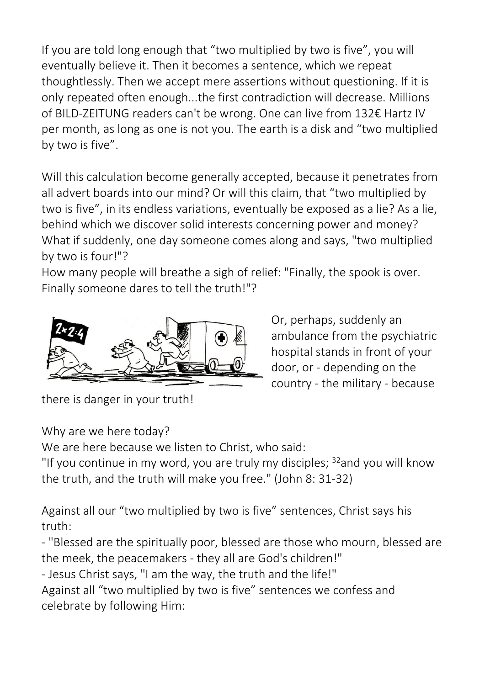If you are told long enough that "two multiplied by two is five", you will eventually believe it. Then it becomes a sentence, which we repeat thoughtlessly. Then we accept mere assertions without questioning. If it is only repeated often enough...the first contradiction will decrease. Millions of BILD-ZEITUNG readers can't be wrong. One can live from 132€ Hartz IV per month, as long as one is not you. The earth is a disk and "two multiplied by two is five".

Will this calculation become generally accepted, because it penetrates from all advert boards into our mind? Or will this claim, that "two multiplied by two is five", in its endless variations, eventually be exposed as a lie? As a lie, behind which we discover solid interests concerning power and money? What if suddenly, one day someone comes along and says, "two multiplied by two is four!"?

How many people will breathe a sigh of relief: "Finally, the spook is over. Finally someone dares to tell the truth!"?



Or, perhaps, suddenly an ambulance from the psychiatric hospital stands in front of your door, or - depending on the country - the military - because

there is danger in your truth!

Why are we here today?

We are here because we listen to Christ, who said:

"If you continue in my word, you are truly my disciples; <sup>32</sup>and you will know the truth, and the truth will make you free." (John 8: 31-32)

Against all our "two multiplied by two is five" sentences, Christ says his truth:

- "Blessed are the spiritually poor, blessed are those who mourn, blessed are the meek, the peacemakers - they all are God's children!"

- Jesus Christ says, "I am the way, the truth and the life!"

Against all "two multiplied by two is five" sentences we confess and celebrate by following Him: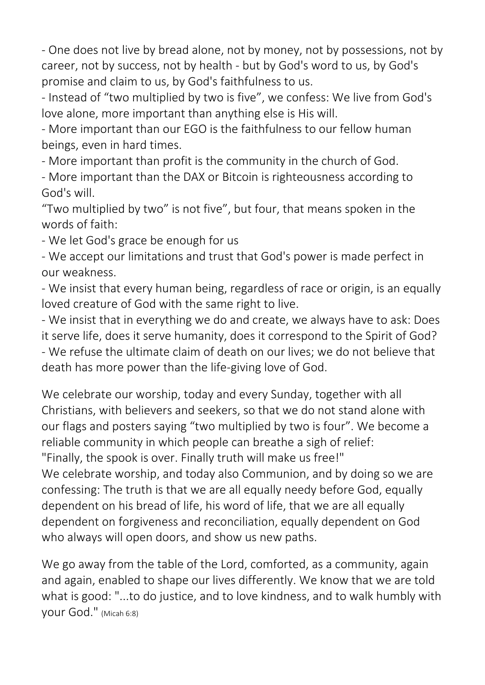- One does not live by bread alone, not by money, not by possessions, not by career, not by success, not by health - but by God's word to us, by God's promise and claim to us, by God's faithfulness to us.

- Instead of "two multiplied by two is five", we confess: We live from God's love alone, more important than anything else is His will.

- More important than our EGO is the faithfulness to our fellow human beings, even in hard times.

- More important than profit is the community in the church of God.

- More important than the DAX or Bitcoin is righteousness according to God's will.

"Two multiplied by two" is not five", but four, that means spoken in the words of faith:

- We let God's grace be enough for us

- We accept our limitations and trust that God's power is made perfect in our weakness.

- We insist that every human being, regardless of race or origin, is an equally loved creature of God with the same right to live.

- We insist that in everything we do and create, we always have to ask: Does it serve life, does it serve humanity, does it correspond to the Spirit of God? - We refuse the ultimate claim of death on our lives; we do not believe that death has more power than the life-giving love of God.

We celebrate our worship, today and every Sunday, together with all Christians, with believers and seekers, so that we do not stand alone with our flags and posters saying "two multiplied by two is four". We become a reliable community in which people can breathe a sigh of relief: "Finally, the spook is over. Finally truth will make us free!"

We celebrate worship, and today also Communion, and by doing so we are confessing: The truth is that we are all equally needy before God, equally dependent on his bread of life, his word of life, that we are all equally dependent on forgiveness and reconciliation, equally dependent on God who always will open doors, and show us new paths.

We go away from the table of the Lord, comforted, as a community, again and again, enabled to shape our lives differently. We know that we are told what is good: "...to do justice, and to love kindness, and to walk humbly with your God." (Micah 6:8)